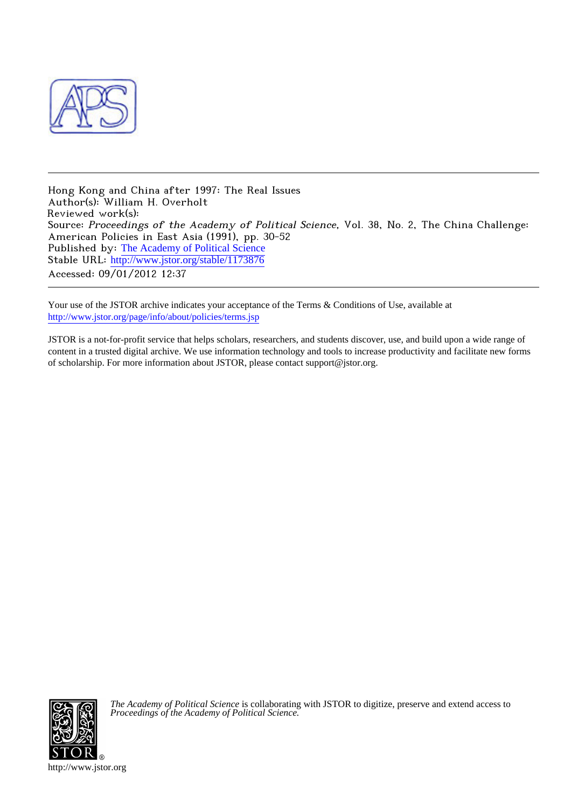

Hong Kong and China after 1997: The Real Issues Author(s): William H. Overholt Reviewed work(s): Source: Proceedings of the Academy of Political Science, Vol. 38, No. 2, The China Challenge: American Policies in East Asia (1991), pp. 30-52 Published by: [The Academy of Political Science](http://www.jstor.org/action/showPublisher?publisherCode=aps) Stable URL: [http://www.jstor.org/stable/1173876](http://www.jstor.org/stable/1173876?origin=JSTOR-pdf) Accessed: 09/01/2012 12:37

Your use of the JSTOR archive indicates your acceptance of the Terms & Conditions of Use, available at <http://www.jstor.org/page/info/about/policies/terms.jsp>

JSTOR is a not-for-profit service that helps scholars, researchers, and students discover, use, and build upon a wide range of content in a trusted digital archive. We use information technology and tools to increase productivity and facilitate new forms of scholarship. For more information about JSTOR, please contact support@jstor.org.



*The Academy of Political Science* is collaborating with JSTOR to digitize, preserve and extend access to *Proceedings of the Academy of Political Science.*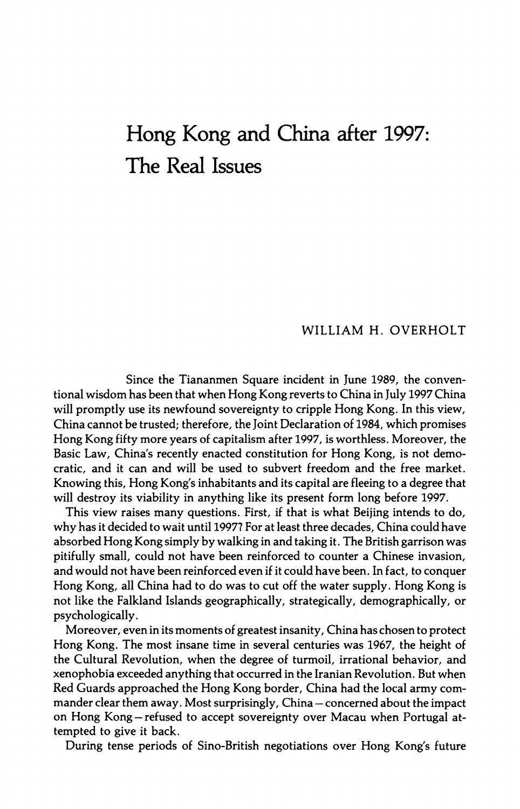# **Hong Kong and China after 1997: The Real Issues**

## **WILLIAM H. OVERHOLT**

**Since the Tiananmen Square incident in June 1989, the conventional wisdom has been that when Hong Kong reverts to China in July 1997 China will promptly use its newfound sovereignty to cripple Hong Kong. In this view, China cannot be trusted; therefore, the Joint Declaration of 1984, which promises Hong Kong fifty more years of capitalism after 1997, is worthless. Moreover, the Basic Law, China's recently enacted constitution for Hong Kong, is not democratic, and it can and will be used to subvert freedom and the free market. Knowing this, Hong Kong's inhabitants and its capital are fleeing to a degree that will destroy its viability in anything like its present form long before 1997.** 

**This view raises many questions. First, if that is what Beijing intends to do, why has it decided to wait until 19977 For at least three decades, China could have absorbed Hong Kong simply by walking in and taking it. The British garrison was pitifully small, could not have been reinforced to counter a Chinese invasion, and would not have been reinforced even if it could have been. In fact, to conquer Hong Kong, all China had to do was to cut off the water supply. Hong Kong is not like the Falkland Islands geographically, strategically, demographically, or psychologically.** 

**Moreover, even in its moments of greatest insanity, China has chosen to protect Hong Kong. The most insane time in several centuries was 1967, the height of the Cultural Revolution, when the degree of turmoil, irrational behavior, and xenophobia exceeded anything that occurred in the Iranian Revolution. But when Red Guards approached the Hong Kong border, China had the local army com**mander clear them away. Most surprisingly, China – concerned about the impact **on Hong Kong-refused to accept sovereignty over Macau when Portugal attempted to give it back.** 

**During tense periods of Sino-British negotiations over Hong Kong's future**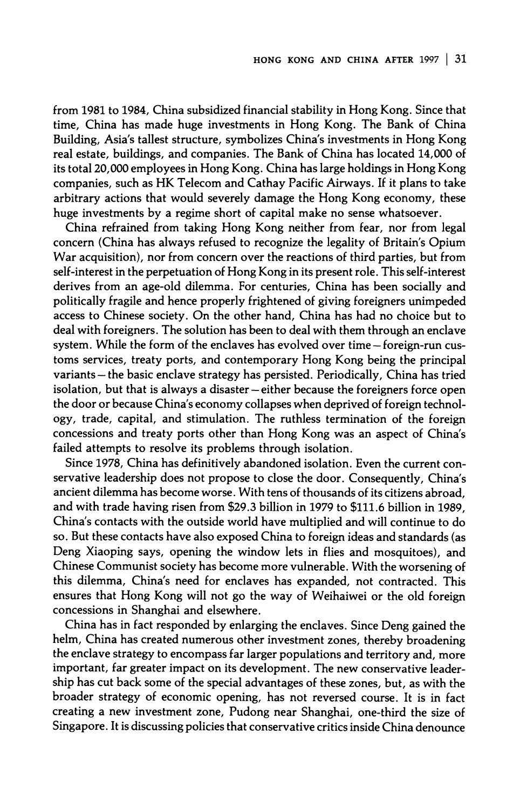**from 1981 to 1984, China subsidized financial stability in Hong Kong. Since that time, China has made huge investments in Hong Kong. The Bank of China Building, Asia's tallest structure, symbolizes China's investments in Hong Kong real estate, buildings, and companies. The Bank of China has located 14,000 of its total 20,000 employees in Hong Kong. China has large holdings in Hong Kong companies, such as HK Telecom and Cathay Pacific Airways. If it plans to take arbitrary actions that would severely damage the Hong Kong economy, these huge investments by a regime short of capital make no sense whatsoever.** 

**China refrained from taking Hong Kong neither from fear, nor from legal concern (China has always refused to recognize the legality of Britain's Opium War acquisition), nor from concern over the reactions of third parties, but from self-interest in the perpetuation of Hong Kong in its present role. This self-interest derives from an age-old dilemma. For centuries, China has been socially and politically fragile and hence properly frightened of giving foreigners unimpeded access to Chinese society. On the other hand, China has had no choice but to deal with foreigners. The solution has been to deal with them through an enclave**  system. While the form of the enclaves has evolved over time - foreign-run cus**toms services, treaty ports, and contemporary Hong Kong being the principal variants - the basic enclave strategy has persisted. Periodically, China has tried**  isolation, but that is always a disaster-either because the foreigners force open **the door or because China's economy collapses when deprived of foreign technology, trade, capital, and stimulation. The ruthless termination of the foreign concessions and treaty ports other than Hong Kong was an aspect of China's failed attempts to resolve its problems through isolation.** 

**Since 1978, China has definitively abandoned isolation. Even the current conservative leadership does not propose to close the door. Consequently, China's ancient dilemma has become worse. With tens of thousands of its citizens abroad, and with trade having risen from \$29.3 billion in 1979 to \$111.6 billion in 1989, China's contacts with the outside world have multiplied and will continue to do so. But these contacts have also exposed China to foreign ideas and standards (as Deng Xiaoping says, opening the window lets in flies and mosquitoes), and Chinese Communist society has become more vulnerable. With the worsening of this dilemma, China's need for enclaves has expanded, not contracted. This ensures that Hong Kong will not go the way of Weihaiwei or the old foreign concessions in Shanghai and elsewhere.** 

**China has in fact responded by enlarging the enclaves. Since Deng gained the helm, China has created numerous other investment zones, thereby broadening the enclave strategy to encompass far larger populations and territory and, more important, far greater impact on its development. The new conservative leadership has cut back some of the special advantages of these zones, but, as with the broader strategy of economic opening, has not reversed course. It is in fact creating a new investment zone, Pudong near Shanghai, one-third the size of Singapore. It is discussing policies that conservative critics inside China denounce**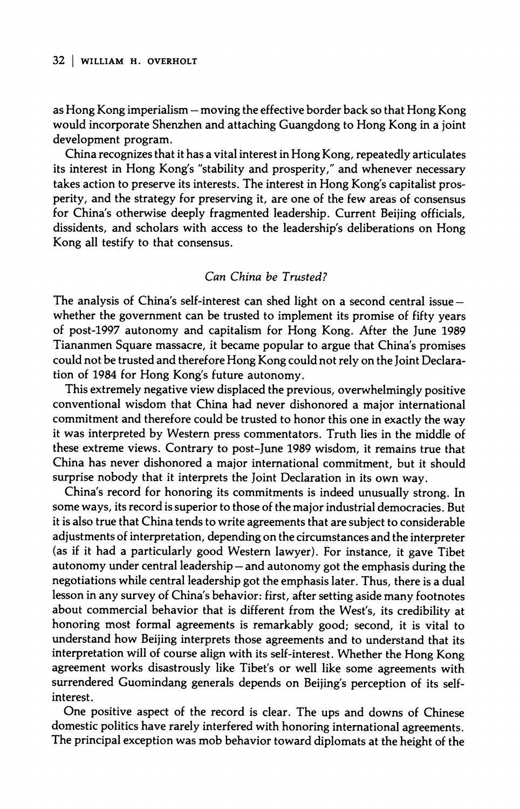as Hong Kong imperialism - moving the effective border back so that Hong Kong **would incorporate Shenzhen and attaching Guangdong to Hong Kong in a joint development program.** 

**China recognizes that it has a vital interest in Hong Kong, repeatedly articulates its interest in Hong Kong's "stability and prosperity," and whenever necessary takes action to preserve its interests. The interest in Hong Kong's capitalist prosperity, and the strategy for preserving it, are one of the few areas of consensus for China's otherwise deeply fragmented leadership. Current Beijing officials, dissidents, and scholars with access to the leadership's deliberations on Hong Kong all testify to that consensus.** 

## **Can China be Trusted?**

**The analysis of China's self-interest can shed light on a second central issue whether the government can be trusted to implement its promise of fifty years of post-1997 autonomy and capitalism for Hong Kong. After the June 1989 Tiananmen Square massacre, it became popular to argue that China's promises could not be trusted and therefore Hong Kong could not rely on the Joint Declaration of 1984 for Hong Kong's future autonomy.** 

**This extremely negative view displaced the previous, overwhelmingly positive conventional wisdom that China had never dishonored a major international commitment and therefore could be trusted to honor this one in exactly the way it was interpreted by Western press commentators. Truth lies in the middle of these extreme views. Contrary to post-June 1989 wisdom, it remains true that China has never dishonored a major international commitment, but it should surprise nobody that it interprets the Joint Declaration in its own way.** 

**China's record for honoring its commitments is indeed unusually strong. In some ways, its record is superior to those of the major industrial democracies. But it is also true that China tends to write agreements that are subject to considerable adjustments of interpretation, depending on the circumstances and the interpreter (as if it had a particularly good Western lawyer). For instance, it gave Tibet**  autonomy under central leadership - and autonomy got the emphasis during the **negotiations while central leadership got the emphasis later. Thus, there is a dual lesson in any survey of China's behavior: first, after setting aside many footnotes about commercial behavior that is different from the West's, its credibility at honoring most formal agreements is remarkably good; second, it is vital to understand how Beijing interprets those agreements and to understand that its interpretation will of course align with its self-interest. Whether the Hong Kong agreement works disastrously like Tibet's or well like some agreements with surrendered Guomindang generals depends on Beijing's perception of its selfinterest.** 

**One positive aspect of the record is clear. The ups and downs of Chinese domestic politics have rarely interfered with honoring international agreements. The principal exception was mob behavior toward diplomats at the height of the**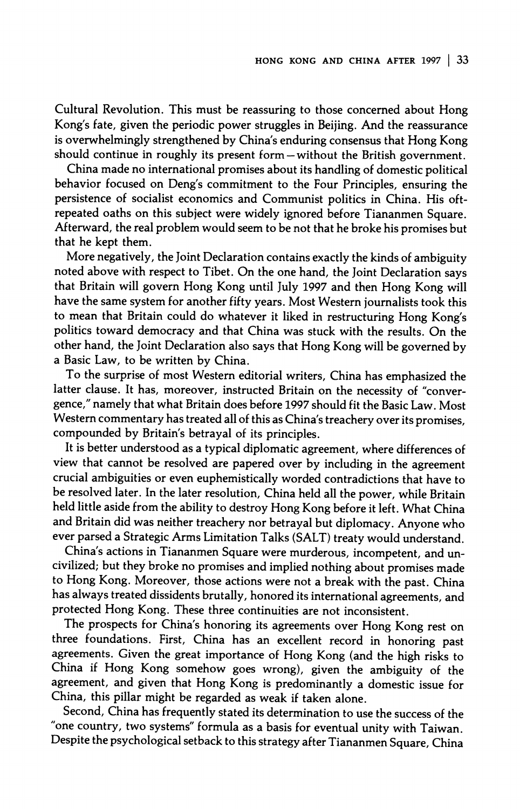**Cultural Revolution. This must be reassuring to those concerned about Hong Kong's fate, given the periodic power struggles in Beijing. And the reassurance is overwhelmingly strengthened by China's enduring consensus that Hong Kong should continue in roughly its present form-without the British government.** 

**China made no international promises about its handling of domestic political behavior focused on Deng's commitment to the Four Principles, ensuring the persistence of socialist economics and Communist politics in China. His oftrepeated oaths on this subject were widely ignored before Tiananmen Square. Afterward, the real problem would seem to be not that he broke his promises but that he kept them.** 

**More negatively, the Joint Declaration contains exactly the kinds of ambiguity noted above with respect to Tibet. On the one hand, the Joint Declaration says that Britain will govern Hong Kong until July 1997 and then Hong Kong will have the same system for another fifty years. Most Western journalists took this to mean that Britain could do whatever it liked in restructuring Hong Kong's politics toward democracy and that China was stuck with the results. On the other hand, the Joint Declaration also says that Hong Kong will be governed by a Basic Law, to be written by China.** 

**To the surprise of most Western editorial writers, China has emphasized the latter clause. It has, moreover, instructed Britain on the necessity of "convergence," namely that what Britain does before 1997 should fit the Basic Law. Most Western commentary has treated all of this as China's treachery over its promises, compounded by Britain's betrayal of its principles.** 

**It is better understood as a typical diplomatic agreement, where differences of view that cannot be resolved are papered over by including in the agreement crucial ambiguities or even euphemistically worded contradictions that have to be resolved later. In the later resolution, China held all the power, while Britain held little aside from the ability to destroy Hong Kong before it left. What China and Britain did was neither treachery nor betrayal but diplomacy. Anyone who ever parsed a Strategic Arms Limitation Talks (SALT) treaty would understand.** 

**China's actions in Tiananmen Square were murderous, incompetent, and uncivilized; but they broke no promises and implied nothing about promises made to Hong Kong. Moreover, those actions were not a break with the past. China has always treated dissidents brutally, honored its international agreements, and protected Hong Kong. These three continuities are not inconsistent.** 

**The prospects for China's honoring its agreements over Hong Kong rest on three foundations. First, China has an excellent record in honoring past agreements. Given the great importance of Hong Kong (and the high risks to China if Hong Kong somehow goes wrong), given the ambiguity of the agreement, and given that Hong Kong is predominantly a domestic issue for China, this pillar might be regarded as weak if taken alone.** 

**Second, China has frequently stated its determination to use the success of the "one country, two systems" formula as a basis for eventual unity with Taiwan. Despite the psychological setback to this strategy after Tiananmen Square, China**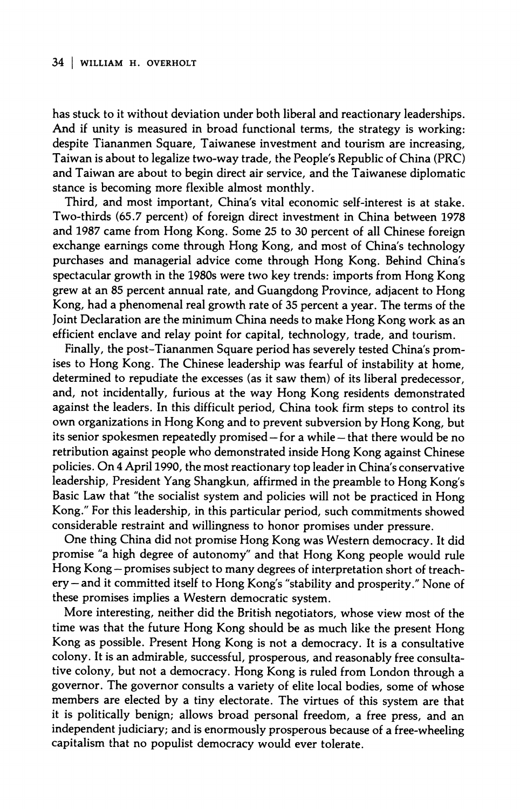**has stuck to it without deviation under both liberal and reactionary leaderships. And if unity is measured in broad functional terms, the strategy is working: despite Tiananmen Square, Taiwanese investment and tourism are increasing, Taiwan is about to legalize two-way trade, the People's Republic of China (PRC) and Taiwan are about to begin direct air service, and the Taiwanese diplomatic stance is becoming more flexible almost monthly.** 

**Third, and most important, China's vital economic self-interest is at stake. Two-thirds (65.7 percent) of foreign direct investment in China between 1978 and 1987 came from Hong Kong. Some 25 to 30 percent of all Chinese foreign exchange earnings come through Hong Kong, and most of China's technology purchases and managerial advice come through Hong Kong. Behind China's spectacular growth in the 1980s were two key trends: imports from Hong Kong grew at an 85 percent annual rate, and Guangdong Province, adjacent to Hong Kong, had a phenomenal real growth rate of 35 percent a year. The terms of the Joint Declaration are the minimum China needs to make Hong Kong work as an efficient enclave and relay point for capital, technology, trade, and tourism.** 

**Finally, the post-Tiananmen Square period has severely tested China's promises to Hong Kong. The Chinese leadership was fearful of instability at home, determined to repudiate the excesses (as it saw them) of its liberal predecessor, and, not incidentally, furious at the way Hong Kong residents demonstrated against the leaders. In this difficult period, China took firm steps to control its own organizations in Hong Kong and to prevent subversion by Hong Kong, but**  its senior spokesmen repeatedly promised - for a while - that there would be no **retribution against people who demonstrated inside Hong Kong against Chinese policies. On 4 April 1990, the most reactionary top leader in China's conservative leadership, President Yang Shangkun, affirmed in the preamble to Hong Kong's Basic Law that "the socialist system and policies will not be practiced in Hong Kong." For this leadership, in this particular period, such commitments showed considerable restraint and willingness to honor promises under pressure.** 

**One thing China did not promise Hong Kong was Western democracy. It did promise "a high degree of autonomy" and that Hong Kong people would rule Hong Kong- promises subject to many degrees of interpretation short of treachery - and it committed itself to Hong Kong's "stability and prosperity." None of these promises implies a Western democratic system.** 

**More interesting, neither did the British negotiators, whose view most of the time was that the future Hong Kong should be as much like the present Hong Kong as possible. Present Hong Kong is not a democracy. It is a consultative colony. It is an admirable, successful, prosperous, and reasonably free consultative colony, but not a democracy. Hong Kong is ruled from London through a governor. The governor consults a variety of elite local bodies, some of whose members are elected by a tiny electorate. The virtues of this system are that it is politically benign; allows broad personal freedom, a free press, and an independent judiciary; and is enormously prosperous because of a free-wheeling capitalism that no populist democracy would ever tolerate.**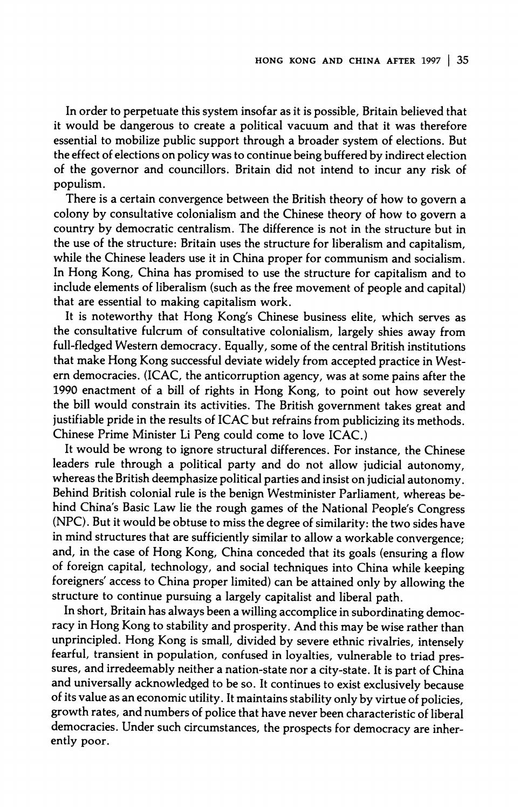**In order to perpetuate this system insofar as it is possible, Britain believed that it would be dangerous to create a political vacuum and that it was therefore essential to mobilize public support through a broader system of elections. But the effect of elections on policy was to continue being buffered by indirect election of the governor and councillors. Britain did not intend to incur any risk of populism.** 

**There is a certain convergence between the British theory of how to govern a colony by consultative colonialism and the Chinese theory of how to govern a country by democratic centralism. The difference is not in the structure but in the use of the structure: Britain uses the structure for liberalism and capitalism, while the Chinese leaders use it in China proper for communism and socialism. In Hong Kong, China has promised to use the structure for capitalism and to include elements of liberalism (such as the free movement of people and capital) that are essential to making capitalism work.** 

**It is noteworthy that Hong Kong's Chinese business elite, which serves as the consultative fulcrum of consultative colonialism, largely shies away from full-fledged Western democracy. Equally, some of the central British institutions that make Hong Kong successful deviate widely from accepted practice in Western democracies. (ICAC, the anticorruption agency, was at some pains after the 1990 enactment of a bill of rights in Hong Kong, to point out how severely the bill would constrain its activities. The British government takes great and justifiable pride in the results of ICAC but refrains from publicizing its methods. Chinese Prime Minister Li Peng could come to love ICAC.)** 

**It would be wrong to ignore structural differences. For instance, the Chinese leaders rule through a political party and do not allow judicial autonomy, whereas the British deemphasize political parties and insist on judicial autonomy. Behind British colonial rule is the benign Westminister Parliament, whereas behind China's Basic Law lie the rough games of the National People's Congress (NPC). But it would be obtuse to miss the degree of similarity: the two sides have in mind structures that are sufficiently similar to allow a workable convergence; and, in the case of Hong Kong, China conceded that its goals (ensuring a flow of foreign capital, technology, and social techniques into China while keeping foreigners' access to China proper limited) can be attained only by allowing the structure to continue pursuing a largely capitalist and liberal path.** 

**In short, Britain has always been a willing accomplice in subordinating democracy in Hong Kong to stability and prosperity. And this may be wise rather than unprincipled. Hong Kong is small, divided by severe ethnic rivalries, intensely fearful, transient in population, confused in loyalties, vulnerable to triad pressures, and irredeemably neither a nation-state nor a city-state. It is part of China and universally acknowledged to be so. It continues to exist exclusively because of its value as an economic utility. It maintains stability only by virtue of policies, growth rates, and numbers of police that have never been characteristic of liberal democracies. Under such circumstances, the prospects for democracy are inherently poor.**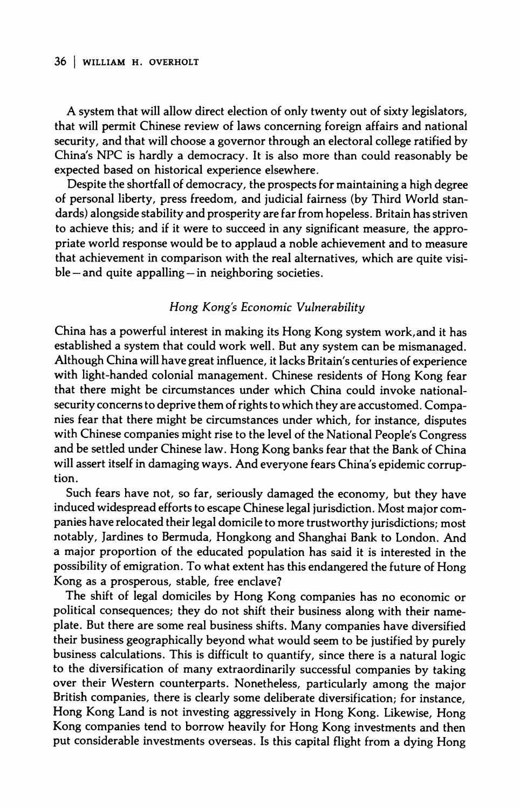#### **36 | WILLIAM H. OVERHOLT**

**A system that will allow direct election of only twenty out of sixty legislators, that will permit Chinese review of laws concerning foreign affairs and national security, and that will choose a governor through an electoral college ratified by China's NPC is hardly a democracy. It is also more than could reasonably be expected based on historical experience elsewhere.** 

**Despite the shortfall of democracy, the prospects for maintaining a high degree of personal liberty, press freedom, and judicial fairness (by Third World standards) alongside stability and prosperity are far from hopeless. Britain has striven to achieve this; and if it were to succeed in any significant measure, the appropriate world response would be to applaud a noble achievement and to measure that achievement in comparison with the real alternatives, which are quite visible - and quite appalling - in neighboring societies.** 

## **Hong Kong's Economic Vulnerability**

**China has a powerful interest in making its Hong Kong system work,and it has established a system that could work well. But any system can be mismanaged. Although China will have great influence, it lacks Britain's centuries of experience with light-handed colonial management. Chinese residents of Hong Kong fear that there might be circumstances under which China could invoke nationalsecurity concerns to deprive them of rights to which they are accustomed. Companies fear that there might be circumstances under which, for instance, disputes with Chinese companies might rise to the level of the National People's Congress and be settled under Chinese law. Hong Kong banks fear that the Bank of China will assert itself in damaging ways. And everyone fears China's epidemic corruption.** 

**Such fears have not, so far, seriously damaged the economy, but they have induced widespread efforts to escape Chinese legal jurisdiction. Most major companies have relocated their legal domicile to more trustworthy jurisdictions; most notably, Jardines to Bermuda, Hongkong and Shanghai Bank to London. And a major proportion of the educated population has said it is interested in the possibility of emigration. To what extent has this endangered the future of Hong Kong as a prosperous, stable, free enclave?** 

**The shift of legal domiciles by Hong Kong companies has no economic or political consequences; they do not shift their business along with their nameplate. But there are some real business shifts. Many companies have diversified their business geographically beyond what would seem to be justified by purely business calculations. This is difficult to quantify, since there is a natural logic to the diversification of many extraordinarily successful companies by taking over their Western counterparts. Nonetheless, particularly among the major British companies, there is clearly some deliberate diversification; for instance, Hong Kong Land is not investing aggressively in Hong Kong. Likewise, Hong Kong companies tend to borrow heavily for Hong Kong investments and then put considerable investments overseas. Is this capital flight from a dying Hong**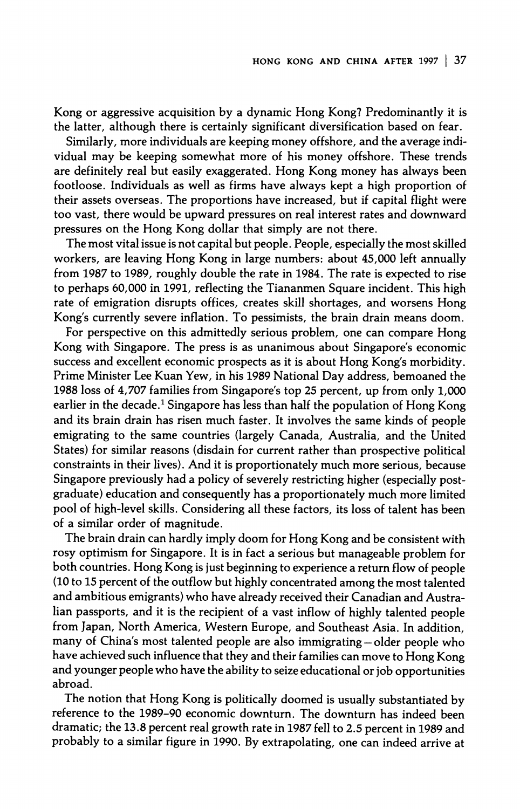**Kong or aggressive acquisition by a dynamic Hong Kong? Predominantly it is the latter, although there is certainly significant diversification based on fear.** 

**Similarly, more individuals are keeping money offshore, and the average individual may be keeping somewhat more of his money offshore. These trends are definitely real but easily exaggerated. Hong Kong money has always been footloose. Individuals as well as firms have always kept a high proportion of their assets overseas. The proportions have increased, but if capital flight were too vast, there would be upward pressures on real interest rates and downward pressures on the Hong Kong dollar that simply are not there.** 

**The most vital issue is not capital but people. People, especially the most skilled workers, are leaving Hong Kong in large numbers: about 45,000 left annually from 1987 to 1989, roughly double the rate in 1984. The rate is expected to rise to perhaps 60,000 in 1991, reflecting the Tiananmen Square incident. This high rate of emigration disrupts offices, creates skill shortages, and worsens Hong Kong's currently severe inflation. To pessimists, the brain drain means doom.** 

**For perspective on this admittedly serious problem, one can compare Hong Kong with Singapore. The press is as unanimous about Singapore's economic success and excellent economic prospects as it is about Hong Kong's morbidity. Prime Minister Lee Kuan Yew, in his 1989 National Day address, bemoaned the 1988 loss of 4,707 families from Singapore's top 25 percent, up from only 1,000 earlier in the decade.' Singapore has less than half the population of Hong Kong and its brain drain has risen much faster. It involves the same kinds of people emigrating to the same countries (largely Canada, Australia, and the United States) for similar reasons (disdain for current rather than prospective political constraints in their lives). And it is proportionately much more serious, because Singapore previously had a policy of severely restricting higher (especially postgraduate) education and consequently has a proportionately much more limited pool of high-level skills. Considering all these factors, its loss of talent has been of a similar order of magnitude.** 

**The brain drain can hardly imply doom for Hong Kong and be consistent with rosy optimism for Singapore. It is in fact a serious but manageable problem for both countries. Hong Kong is just beginning to experience a return flow of people (10 to 15 percent of the outflow but highly concentrated among the most talented and ambitious emigrants) who have already received their Canadian and Australian passports, and it is the recipient of a vast inflow of highly talented people from Japan, North America, Western Europe, and Southeast Asia. In addition, many of China's most talented people are also immigrating-older people who have achieved such influence that they and their families can move to Hong Kong and younger people who have the ability to seize educational or job opportunities abroad.** 

**The notion that Hong Kong is politically doomed is usually substantiated by reference to the 1989-90 economic downturn. The downturn has indeed been dramatic; the 13.8 percent real growth rate in 1987 fell to 2.5 percent in 1989 and probably to a similar figure in 1990. By extrapolating, one can indeed arrive at**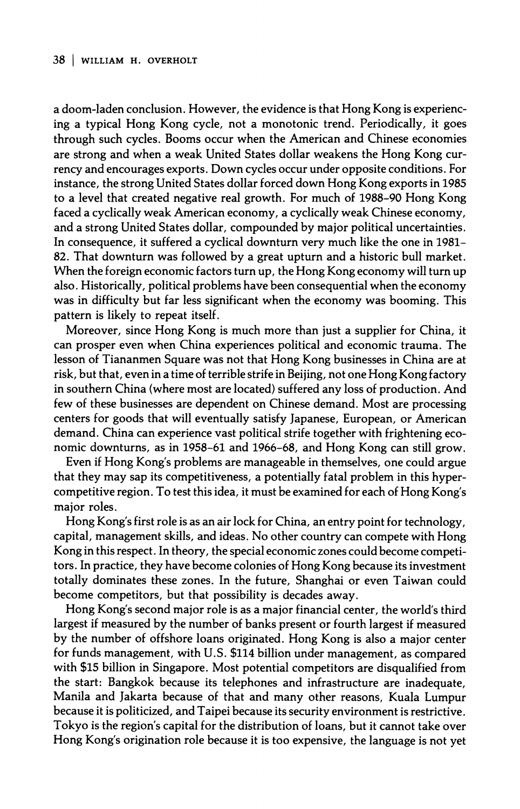**a doom-laden conclusion. However, the evidence is that Hong Kong is experiencing a typical Hong Kong cycle, not a monotonic trend. Periodically, it goes through such cycles. Booms occur when the American and Chinese economies are strong and when a weak United States dollar weakens the Hong Kong currency and encourages exports. Down cycles occur under opposite conditions. For instance, the strong United States dollar forced down Hong Kong exports in 1985 to a level that created negative real growth. For much of 1988-90 Hong Kong faced a cyclically weak American economy, a cyclically weak Chinese economy, and a strong United States dollar, compounded by major political uncertainties. In consequence, it suffered a cyclical downturn very much like the one in 1981- 82. That downturn was followed by a great upturn and a historic bull market. When the foreign economic factors turn up, the Hong Kong economy will turn up also. Historically, political problems have been consequential when the economy was in difficulty but far less significant when the economy was booming. This pattern is likely to repeat itself.** 

**Moreover, since Hong Kong is much more than just a supplier for China, it can prosper even when China experiences political and economic trauma. The lesson of Tiananmen Square was not that Hong Kong businesses in China are at risk, but that, even in a time of terrible strife in Beijing, not one Hong Kong factory in southern China (where most are located) suffered any loss of production. And few of these businesses are dependent on Chinese demand. Most are processing centers for goods that will eventually satisfy Japanese, European, or American demand. China can experience vast political strife together with frightening economic downturns, as in 1958-61 and 1966-68, and Hong Kong can still grow.** 

**Even if Hong Kong's problems are manageable in themselves, one could argue that they may sap its competitiveness, a potentially fatal problem in this hypercompetitive region. To test this idea, it must be examined for each of Hong Kong's major roles.** 

**Hong Kong's first role is as an air lock for China, an entry point for technology, capital, management skills, and ideas. No other country can compete with Hong Kong in this respect. In theory, the special economic zones could become competitors. In practice, they have become colonies of Hong Kong because its investment totally dominates these zones. In the future, Shanghai or even Taiwan could become competitors, but that possibility is decades away.** 

**Hong Kong's second major role is as a major financial center, the world's third largest if measured by the number of banks present or fourth largest if measured by the number of offshore loans originated. Hong Kong is also a major center for funds management, with U.S. \$114 billion under management, as compared with \$15 billion in Singapore. Most potential competitors are disqualified from the start: Bangkok because its telephones and infrastructure are inadequate, Manila and Jakarta because of that and many other reasons, Kuala Lumpur because it is politicized, and Taipei because its security environment is restrictive. Tokyo is the region's capital for the distribution of loans, but it cannot take over Hong Kong's origination role because it is too expensive, the language is not yet**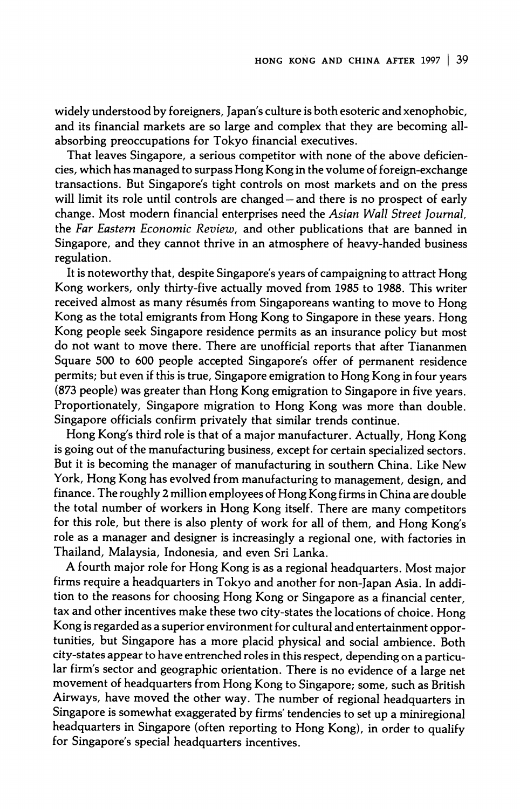**widely understood by foreigners, Japan's culture is both esoteric and xenophobic, and its financial markets are so large and complex that they are becoming allabsorbing preoccupations for Tokyo financial executives.** 

**That leaves Singapore, a serious competitor with none of the above deficiencies, which has managed to surpass Hong Kong in the volume of foreign-exchange transactions. But Singapore's tight controls on most markets and on the press will limit its role until controls are changed-and there is no prospect of early change. Most modern financial enterprises need the Asian Wall Street Journal, the Far Eastern Economic Review, and other publications that are banned in Singapore, and they cannot thrive in an atmosphere of heavy-handed business regulation.** 

**It is noteworthy that, despite Singapore's years of campaigning to attract Hong Kong workers, only thirty-five actually moved from 1985 to 1988. This writer**  received almost as many résumés from Singaporeans wanting to move to Hong **Kong as the total emigrants from Hong Kong to Singapore in these years. Hong Kong people seek Singapore residence permits as an insurance policy but most do not want to move there. There are unofficial reports that after Tiananmen Square 500 to 600 people accepted Singapore's offer of permanent residence permits; but even if this is true, Singapore emigration to Hong Kong in four years (873 people) was greater than Hong Kong emigration to Singapore in five years. Proportionately, Singapore migration to Hong Kong was more than double. Singapore officials confirm privately that similar trends continue.** 

**Hong Kong's third role is that of a major manufacturer. Actually, Hong Kong is going out of the manufacturing business, except for certain specialized sectors. But it is becoming the manager of manufacturing in southern China. Like New York, Hong Kong has evolved from manufacturing to management, design, and finance. The roughly 2 million employees of Hong Kong firms in China are double the total number of workers in Hong Kong itself. There are many competitors for this role, but there is also plenty of work for all of them, and Hong Kong's role as a manager and designer is increasingly a regional one, with factories in Thailand, Malaysia, Indonesia, and even Sri Lanka.** 

**A fourth major role for Hong Kong is as a regional headquarters. Most major firms require a headquarters in Tokyo and another for non-Japan Asia. In addition to the reasons for choosing Hong Kong or Singapore as a financial center, tax and other incentives make these two city-states the locations of choice. Hong Kong is regarded as a superior environment for cultural and entertainment opportunities, but Singapore has a more placid physical and social ambience. Both city-states appear to have entrenched roles in this respect, depending on a particular firm's sector and geographic orientation. There is no evidence of a large net movement of headquarters from Hong Kong to Singapore; some, such as British Airways, have moved the other way. The number of regional headquarters in Singapore is somewhat exaggerated by firms' tendencies to set up a miniregional headquarters in Singapore (often reporting to Hong Kong), in order to qualify for Singapore's special headquarters incentives.**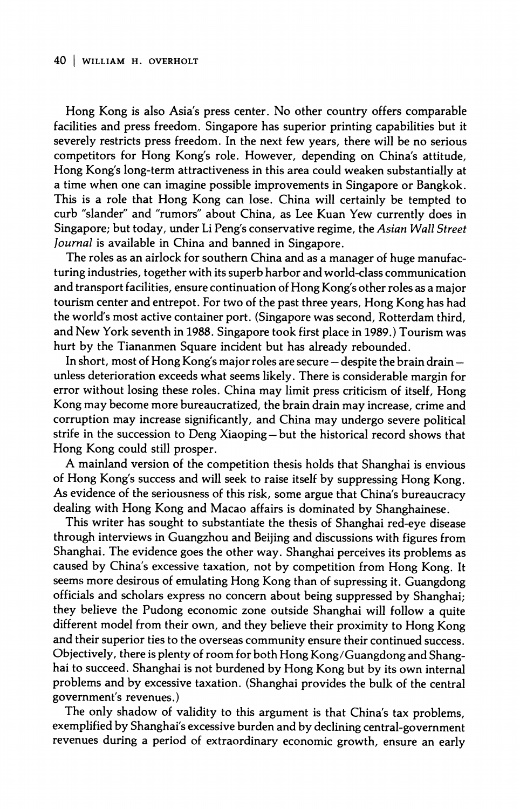**Hong Kong is also Asia's press center. No other country offers comparable facilities and press freedom. Singapore has superior printing capabilities but it severely restricts press freedom. In the next few years, there will be no serious competitors for Hong Kong's role. However, depending on China's attitude, Hong Kong's long-term attractiveness in this area could weaken substantially at a time when one can imagine possible improvements in Singapore or Bangkok. This is a role that Hong Kong can lose. China will certainly be tempted to curb "slander" and "rumors" about China, as Lee Kuan Yew currently does in Singapore; but today, under Li Peng's conservative regime, the Asian Wall Street Journal is available in China and banned in Singapore.** 

**The roles as an airlock for southern China and as a manager of huge manufacturing industries, together with its superb harbor and world-class communication and transport facilities, ensure continuation of Hong Kong's other roles as a major tourism center and entrepot. For two of the past three years, Hong Kong has had the world's most active container port. (Singapore was second, Rotterdam third, and New York seventh in 1988. Singapore took first place in 1989.) Tourism was hurt by the Tiananmen Square incident but has already rebounded.** 

In short, most of Hong Kong's major roles are secure - despite the brain drain **unless deterioration exceeds what seems likely. There is considerable margin for error without losing these roles. China may limit press criticism of itself, Hong Kong may become more bureaucratized, the brain drain may increase, crime and corruption may increase significantly, and China may undergo severe political**  strife in the succession to Deng Xiaoping - but the historical record shows that **Hong Kong could still prosper.** 

**A mainland version of the competition thesis holds that Shanghai is envious of Hong Kong's success and will seek to raise itself by suppressing Hong Kong. As evidence of the seriousness of this risk, some argue that China's bureaucracy dealing with Hong Kong and Macao affairs is dominated by Shanghainese.** 

**This writer has sought to substantiate the thesis of Shanghai red-eye disease through interviews in Guangzhou and Beijing and discussions with figures from Shanghai. The evidence goes the other way. Shanghai perceives its problems as caused by China's excessive taxation, not by competition from Hong Kong. It seems more desirous of emulating Hong Kong than of supressing it. Guangdong officials and scholars express no concern about being suppressed by Shanghai; they believe the Pudong economic zone outside Shanghai will follow a quite different model from their own, and they believe their proximity to Hong Kong and their superior ties to the overseas community ensure their continued success. Objectively, there is plenty of room for both Hong Kong/Guangdong and Shanghai to succeed. Shanghai is not burdened by Hong Kong but by its own internal problems and by excessive taxation. (Shanghai provides the bulk of the central government's revenues.)** 

**The only shadow of validity to this argument is that China's tax problems, exemplified by Shanghai's excessive burden and by declining central-government revenues during a period of extraordinary economic growth, ensure an early**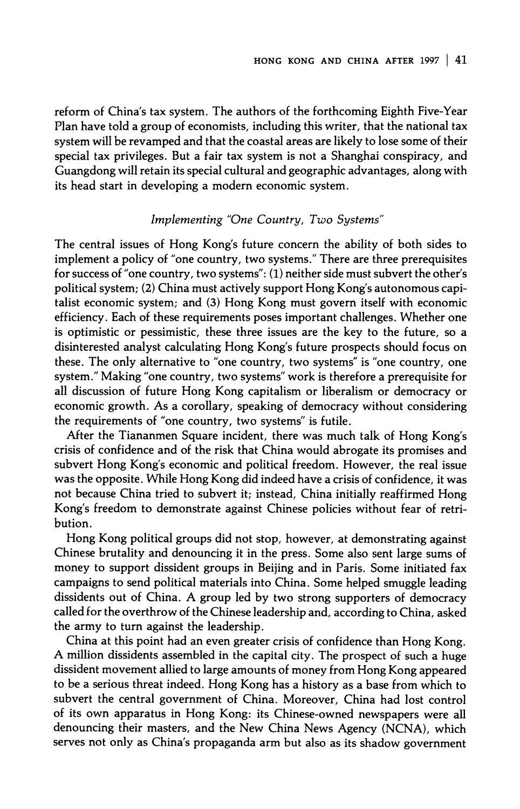**reform of China's tax system. The authors of the forthcoming Eighth Five-Year Plan have told a group of economists, including this writer, that the national tax system will be revamped and that the coastal areas are likely to lose some of their special tax privileges. But a fair tax system is not a Shanghai conspiracy, and Guangdong will retain its special cultural and geographic advantages, along with its head start in developing a modern economic system.** 

## **Implementing "One Country, Two Systems"**

**The central issues of Hong Kong's future concern the ability of both sides to implement a policy of "one country, two systems." There are three prerequisites for success of "one country, two systems": (1) neither side must subvert the other's political system; (2) China must actively support Hong Kong's autonomous capitalist economic system; and (3) Hong Kong must govern itself with economic efficiency. Each of these requirements poses important challenges. Whether one is optimistic or pessimistic, these three issues are the key to the future, so a disinterested analyst calculating Hong Kong's future prospects should focus on these. The only alternative to "one country, two systems" is "one country, one system." Making "one country, two systems" work is therefore a prerequisite for all discussion of future Hong Kong capitalism or liberalism or democracy or economic growth. As a corollary, speaking of democracy without considering the requirements of "one country, two systems" is futile.** 

**After the Tiananmen Square incident, there was much talk of Hong Kong's crisis of confidence and of the risk that China would abrogate its promises and subvert Hong Kong's economic and political freedom. However, the real issue was the opposite. While Hong Kong did indeed have a crisis of confidence, it was not because China tried to subvert it; instead, China initially reaffirmed Hong Kong's freedom to demonstrate against Chinese policies without fear of retribution.** 

**Hong Kong political groups did not stop, however, at demonstrating against Chinese brutality and denouncing it in the press. Some also sent large sums of money to support dissident groups in Beijing and in Paris. Some initiated fax campaigns to send political materials into China. Some helped smuggle leading dissidents out of China. A group led by two strong supporters of democracy called for the overthrow of the Chinese leadership and, according to China, asked the army to turn against the leadership.** 

**China at this point had an even greater crisis of confidence than Hong Kong. A million dissidents assembled in the capital city. The prospect of such a huge dissident movement allied to large amounts of money from Hong Kong appeared to be a serious threat indeed. Hong Kong has a history as a base from which to subvert the central government of China. Moreover, China had lost control of its own apparatus in Hong Kong: its Chinese-owned newspapers were all denouncing their masters, and the New China News Agency (NCNA), which serves not only as China's propaganda arm but also as its shadow government**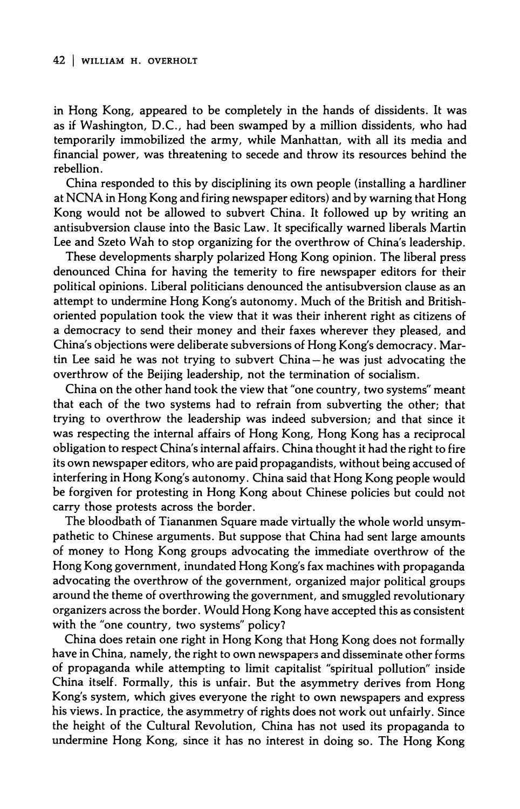**in Hong Kong, appeared to be completely in the hands of dissidents. It was as if Washington, D.C., had been swamped by a million dissidents, who had temporarily immobilized the army, while Manhattan, with all its media and financial power, was threatening to secede and throw its resources behind the rebellion.** 

**China responded to this by disciplining its own people (installing a hardliner at NCNA in Hong Kong and firing newspaper editors) and by warning that Hong Kong would not be allowed to subvert China. It followed up by writing an antisubversion clause into the Basic Law. It specifically warned liberals Martin Lee and Szeto Wah to stop organizing for the overthrow of China's leadership.** 

**These developments sharply polarized Hong Kong opinion. The liberal press denounced China for having the temerity to fire newspaper editors for their political opinions. Liberal politicians denounced the antisubversion clause as an attempt to undermine Hong Kong's autonomy. Much of the British and Britishoriented population took the view that it was their inherent right as citizens of a democracy to send their money and their faxes wherever they pleased, and China's objections were deliberate subversions of Hong Kong's democracy. Martin Lee said he was not trying to subvert China-he was just advocating the overthrow of the Beijing leadership, not the termination of socialism.** 

**China on the other hand took the view that "one country, two systems" meant that each of the two systems had to refrain from subverting the other; that trying to overthrow the leadership was indeed subversion; and that since it was respecting the internal affairs of Hong Kong, Hong Kong has a reciprocal obligation to respect China's internal affairs. China thought it had the right to fire its own newspaper editors, who are paid propagandists, without being accused of interfering in Hong Kong's autonomy. China said that Hong Kong people would be forgiven for protesting in Hong Kong about Chinese policies but could not carry those protests across the border.** 

**The bloodbath of Tiananmen Square made virtually the whole world unsympathetic to Chinese arguments. But suppose that China had sent large amounts of money to Hong Kong groups advocating the immediate overthrow of the Hong Kong government, inundated Hong Kong's fax machines with propaganda advocating the overthrow of the government, organized major political groups around the theme of overthrowing the government, and smuggled revolutionary organizers across the border. Would Hong Kong have accepted this as consistent with the "one country, two systems" policy?** 

**China does retain one right in Hong Kong that Hong Kong does not formally have in China, namely, the right to own newspapers and disseminate other forms of propaganda while attempting to limit capitalist "spiritual pollution" inside China itself. Formally, this is unfair. But the asymmetry derives from Hong Kong's system, which gives everyone the right to own newspapers and express his views. In practice, the asymmetry of rights does not work out unfairly. Since the height of the Cultural Revolution, China has not used its propaganda to undermine Hong Kong, since it has no interest in doing so. The Hong Kong**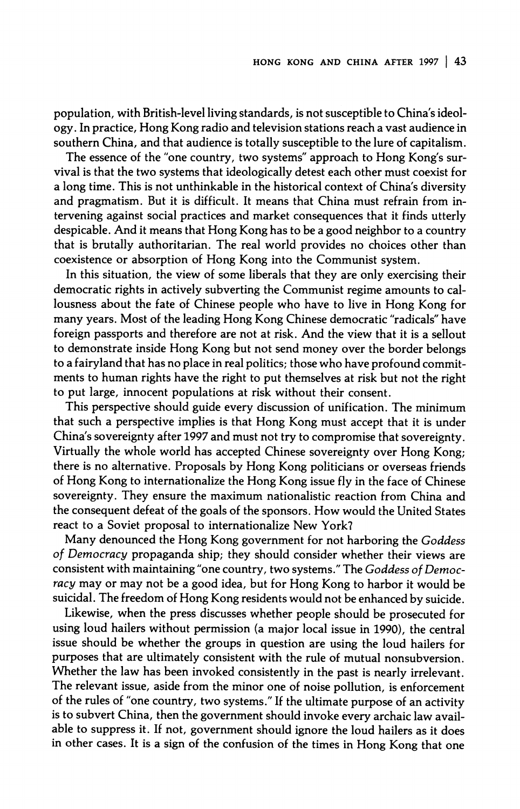**population, with British-level living standards, is not susceptible to China's ideology. In practice, Hong Kong radio and television stations reach a vast audience in southern China, and that audience is totally susceptible to the lure of capitalism.** 

**The essence of the "one country, two systems" approach to Hong Kong's survival is that the two systems that ideologically detest each other must coexist for a long time. This is not unthinkable in the historical context of China's diversity and pragmatism. But it is difficult. It means that China must refrain from intervening against social practices and market consequences that it finds utterly despicable. And it means that Hong Kong has to be a good neighbor to a country that is brutally authoritarian. The real world provides no choices other than coexistence or absorption of Hong Kong into the Communist system.** 

**In this situation, the view of some liberals that they are only exercising their democratic rights in actively subverting the Communist regime amounts to callousness about the fate of Chinese people who have to live in Hong Kong for many years. Most of the leading Hong Kong Chinese democratic "radicals" have foreign passports and therefore are not at risk. And the view that it is a sellout to demonstrate inside Hong Kong but not send money over the border belongs to a fairyland that has no place in real politics; those who have profound commitments to human rights have the right to put themselves at risk but not the right to put large, innocent populations at risk without their consent.** 

**This perspective should guide every discussion of unification. The minimum that such a perspective implies is that Hong Kong must accept that it is under China's sovereignty after 1997 and must not try to compromise that sovereignty. Virtually the whole world has accepted Chinese sovereignty over Hong Kong; there is no alternative. Proposals by Hong Kong politicians or overseas friends of Hong Kong to internationalize the Hong Kong issue fly in the face of Chinese sovereignty. They ensure the maximum nationalistic reaction from China and the consequent defeat of the goals of the sponsors. How would the United States react to a Soviet proposal to internationalize New York?** 

**Many denounced the Hong Kong government for not harboring the Goddess of Democracy propaganda ship; they should consider whether their views are consistent with maintaining "one country, two systems." The Goddess of Democracy may or may not be a good idea, but for Hong Kong to harbor it would be suicidal. The freedom of Hong Kong residents would not be enhanced by suicide.** 

**Likewise, when the press discusses whether people should be prosecuted for using loud hailers without permission (a major local issue in 1990), the central issue should be whether the groups in question are using the loud hailers for purposes that are ultimately consistent with the rule of mutual nonsubversion. Whether the law has been invoked consistently in the past is nearly irrelevant. The relevant issue, aside from the minor one of noise pollution, is enforcement of the rules of "one country, two systems." If the ultimate purpose of an activity is to subvert China, then the government should invoke every archaic law available to suppress it. If not, government should ignore the loud hailers as it does in other cases. It is a sign of the confusion of the times in Hong Kong that one**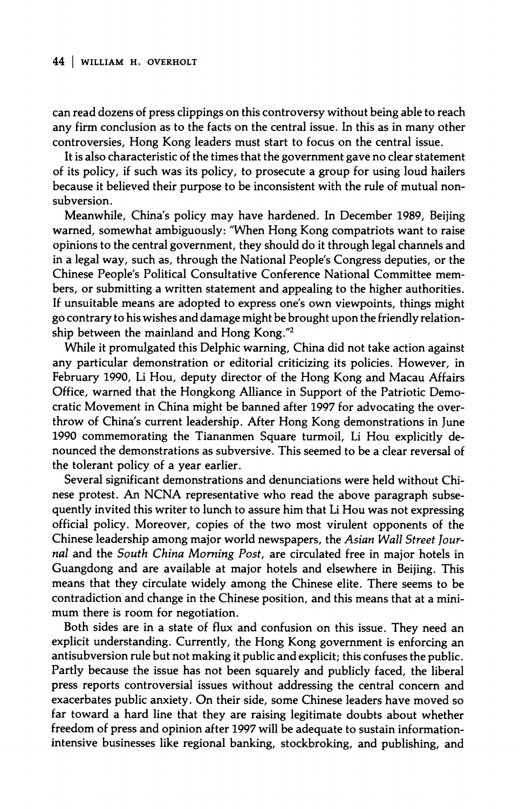**can read dozens of press clippings on this controversy without being able to reach any firm conclusion as to the facts on the central issue. In this as in many other controversies, Hong Kong leaders must start to focus on the central issue.** 

**It is also characteristic of the times that the government gave no clear statement of its policy, if such was its policy, to prosecute a group for using loud hailers because it believed their purpose to be inconsistent with the rule of mutual nonsubversion.** 

**Meanwhile, China's policy may have hardened. In December 1989, Beijing warned, somewhat ambiguously: "When Hong Kong compatriots want to raise opinions to the central government, they should do it through legal channels and in a legal way, such as, through the National People's Congress deputies, or the Chinese People's Political Consultative Conference National Committee members, or submitting a written statement and appealing to the higher authorities. If unsuitable means are adopted to express one's own viewpoints, things might go contrary to his wishes and damage might be brought upon the friendly relationship between the mainland and Hong Kong."2** 

**While it promulgated this Delphic warning, China did not take action against any particular demonstration or editorial criticizing its policies. However, in February 1990, Li Hou, deputy director of the Hong Kong and Macau Affairs Office, warned that the Hongkong Alliance in Support of the Patriotic Democratic Movement in China might be banned after 1997 for advocating the overthrow of China's current leadership. After Hong Kong demonstrations in June 1990 commemorating the Tiananmen Square turmoil, Li Hou explicitly denounced the demonstrations as subversive. This seemed to be a clear reversal of the tolerant policy of a year earlier.** 

**Several significant demonstrations and denunciations were held without Chinese protest. An NCNA representative who read the above paragraph subsequently invited this writer to lunch to assure him that Li Hou was not expressing official policy. Moreover, copies of the two most virulent opponents of the Chinese leadership among major world newspapers, the Asian Wall Street Journal and the South China Morning Post, are circulated free in major hotels in Guangdong and are available at major hotels and elsewhere in Beijing. This means that they circulate widely among the Chinese elite. There seems to be contradiction and change in the Chinese position, and this means that at a minimum there is room for negotiation.** 

**Both sides are in a state of flux and confusion on this issue. They need an explicit understanding. Currently, the Hong Kong government is enforcing an antisubversion rule but not making it public and explicit; this confuses the public. Partly because the issue has not been squarely and publicly faced, the liberal press reports controversial issues without addressing the central concern and exacerbates public anxiety. On their side, some Chinese leaders have moved so far toward a hard line that they are raising legitimate doubts about whether freedom of press and opinion after 1997 will be adequate to sustain informationintensive businesses like regional banking, stockbroking, and publishing, and**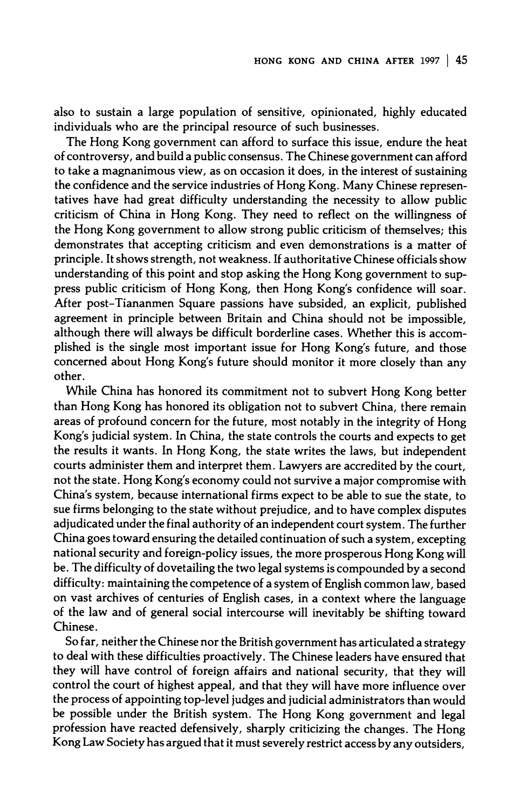**also to sustain a large population of sensitive, opinionated, highly educated individuals who are the principal resource of such businesses.** 

**The Hong Kong government can afford to surface this issue, endure the heat of controversy, and build a public consensus. The Chinese government can afford to take a magnanimous view, as on occasion it does, in the interest of sustaining the confidence and the service industries of Hong Kong. Many Chinese representatives have had great difficulty understanding the necessity to allow public criticism of China in Hong Kong. They need to reflect on the willingness of the Hong Kong government to allow strong public criticism of themselves; this demonstrates that accepting criticism and even demonstrations is a matter of principle. It shows strength, not weakness. If authoritative Chinese officials show understanding of this point and stop asking the Hong Kong government to suppress public criticism of Hong Kong, then Hong Kong's confidence will soar. After post-Tiananmen Square passions have subsided, an explicit, published agreement in principle between Britain and China should not be impossible, although there will always be difficult borderline cases. Whether this is accomplished is the single most important issue for Hong Kong's future, and those concerned about Hong Kong's future should monitor it more closely than any other.** 

**While China has honored its commitment not to subvert Hong Kong better than Hong Kong has honored its obligation not to subvert China, there remain areas of profound concern for the future, most notably in the integrity of Hong Kong's judicial system. In China, the state controls the courts and expects to get the results it wants. In Hong Kong, the state writes the laws, but independent courts administer them and interpret them. Lawyers are accredited by the court, not the state. Hong Kong's economy could not survive a major compromise with China's system, because international firms expect to be able to sue the state, to sue firms belonging to the state without prejudice, and to have complex disputes adjudicated under the final authority of an independent court system. The further China goes toward ensuring the detailed continuation of such a system, excepting national security and foreign-policy issues, the more prosperous Hong Kong will be. The difficulty of dovetailing the two legal systems is compounded by a second difficulty: maintaining the competence of a system of English common law, based on vast archives of centuries of English cases, in a context where the language of the law and of general social intercourse will inevitably be shifting toward Chinese.** 

**So far, neither the Chinese nor the British government has articulated a strategy to deal with these difficulties proactively. The Chinese leaders have ensured that they will have control of foreign affairs and national security, that they will control the court of highest appeal, and that they will have more influence over the process of appointing top-level judges and judicial administrators than would be possible under the British system. The Hong Kong government and legal profession have reacted defensively, sharply criticizing the changes. The Hong Kong Law Society has argued that it must severely restrict access by any outsiders,**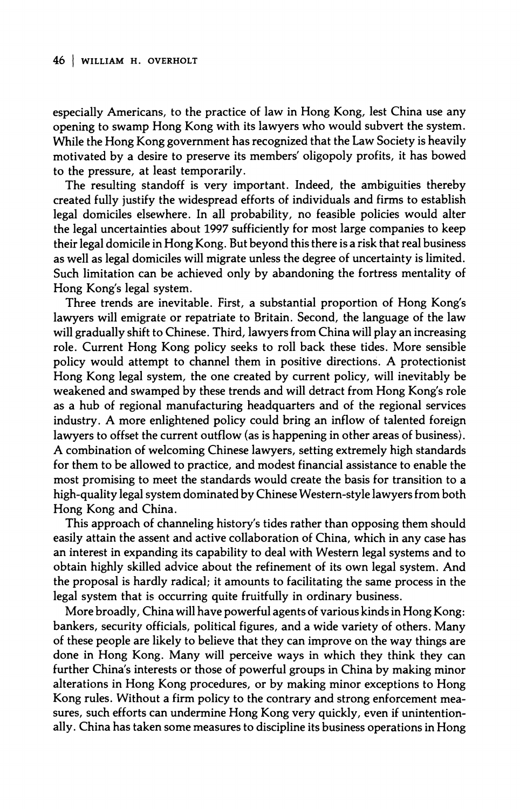**especially Americans, to the practice of law in Hong Kong, lest China use any opening to swamp Hong Kong with its lawyers who would subvert the system. While the Hong Kong government has recognized that the Law Society is heavily motivated by a desire to preserve its members' oligopoly profits, it has bowed to the pressure, at least temporarily.** 

**The resulting standoff is very important. Indeed, the ambiguities thereby created fully justify the widespread efforts of individuals and firms to establish legal domiciles elsewhere. In all probability, no feasible policies would alter the legal uncertainties about 1997 sufficiently for most large companies to keep their legal domicile in Hong Kong. But beyond this there is a risk that real business as well as legal domiciles will migrate unless the degree of uncertainty is limited. Such limitation can be achieved only by abandoning the fortress mentality of Hong Kong's legal system.** 

**Three trends are inevitable. First, a substantial proportion of Hong Kong's lawyers will emigrate or repatriate to Britain. Second, the language of the law will gradually shift to Chinese. Third, lawyers from China will play an increasing role. Current Hong Kong policy seeks to roll back these tides. More sensible policy would attempt to channel them in positive directions. A protectionist Hong Kong legal system, the one created by current policy, will inevitably be weakened and swamped by these trends and will detract from Hong Kong's role as a hub of regional manufacturing headquarters and of the regional services industry. A more enlightened policy could bring an inflow of talented foreign lawyers to offset the current outflow (as is happening in other areas of business). A combination of welcoming Chinese lawyers, setting extremely high standards for them to be allowed to practice, and modest financial assistance to enable the most promising to meet the standards would create the basis for transition to a high-quality legal system dominated by Chinese Western-style lawyers from both Hong Kong and China.** 

**This approach of channeling history's tides rather than opposing them should easily attain the assent and active collaboration of China, which in any case has an interest in expanding its capability to deal with Western legal systems and to obtain highly skilled advice about the refinement of its own legal system. And the proposal is hardly radical; it amounts to facilitating the same process in the legal system that is occurring quite fruitfully in ordinary business.** 

**More broadly, China will have powerful agents of various kinds in Hong Kong: bankers, security officials, political figures, and a wide variety of others. Many of these people are likely to believe that they can improve on the way things are done in Hong Kong. Many will perceive ways in which they think they can further China's interests or those of powerful groups in China by making minor alterations in Hong Kong procedures, or by making minor exceptions to Hong Kong rules. Without a firm policy to the contrary and strong enforcement measures, such efforts can undermine Hong Kong very quickly, even if unintentionally. China has taken some measures to discipline its business operations in Hong**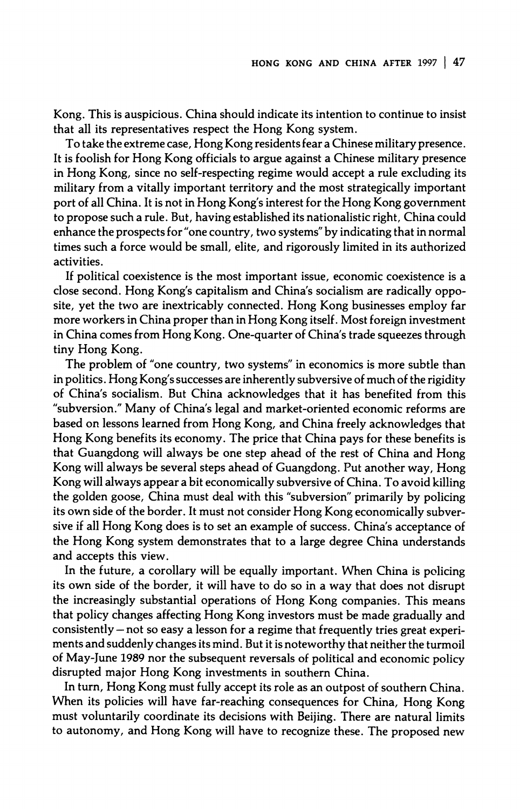**Kong. This is auspicious. China should indicate its intention to continue to insist that all its representatives respect the Hong Kong system.** 

**To take the extreme case, Hong Kong residents fear a Chinese military presence. It is foolish for Hong Kong officials to argue against a Chinese military presence in Hong Kong, since no self-respecting regime would accept a rule excluding its military from a vitally important territory and the most strategically important port of all China. It is not in Hong Kong's interest for the Hong Kong government to propose such a rule. But, having established its nationalistic right, China could enhance the prospects for "one country, two systems" by indicating that in normal times such a force would be small, elite, and rigorously limited in its authorized activities.** 

**If political coexistence is the most important issue, economic coexistence is a close second. Hong Kong's capitalism and China's socialism are radically opposite, yet the two are inextricably connected. Hong Kong businesses employ far more workers in China proper than in Hong Kong itself. Most foreign investment in China comes from Hong Kong. One-quarter of China's trade squeezes through tiny Hong Kong.** 

**The problem of "one country, two systems" in economics is more subtle than in politics. Hong Kong's successes are inherently subversive of much of the rigidity of China's socialism. But China acknowledges that it has benefited from this "subversion." Many of China's legal and market-oriented economic reforms are based on lessons learned from Hong Kong, and China freely acknowledges that Hong Kong benefits its economy. The price that China pays for these benefits is that Guangdong will always be one step ahead of the rest of China and Hong Kong will always be several steps ahead of Guangdong. Put another way, Hong Kong will always appear a bit economically subversive of China. To avoid killing the golden goose, China must deal with this "subversion" primarily by policing its own side of the border. It must not consider Hong Kong economically subversive if all Hong Kong does is to set an example of success. China's acceptance of the Hong Kong system demonstrates that to a large degree China understands and accepts this view.** 

**In the future, a corollary will be equally important. When China is policing its own side of the border, it will have to do so in a way that does not disrupt the increasingly substantial operations of Hong Kong companies. This means that policy changes affecting Hong Kong investors must be made gradually and consistently - not so easy a lesson for a regime that frequently tries great experiments and suddenly changes its mind. But it is noteworthy that neither the turmoil of May-June 1989 nor the subsequent reversals of political and economic policy disrupted major Hong Kong investments in southern China.** 

**In turn, Hong Kong must fully accept its role as an outpost of southern China. When its policies will have far-reaching consequences for China, Hong Kong must voluntarily coordinate its decisions with Beijing. There are natural limits to autonomy, and Hong Kong will have to recognize these. The proposed new**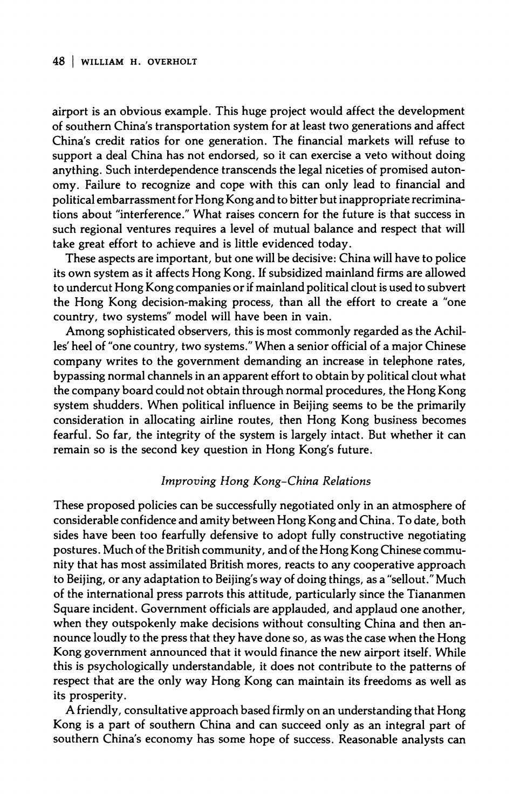**airport is an obvious example. This huge project would affect the development of southern China's transportation system for at least two generations and affect China's credit ratios for one generation. The financial markets will refuse to support a deal China has not endorsed, so it can exercise a veto without doing anything. Such interdependence transcends the legal niceties of promised autonomy. Failure to recognize and cope with this can only lead to financial and political embarrassment for Hong Kong and to bitter but inappropriate recriminations about "interference." What raises concern for the future is that success in such regional ventures requires a level of mutual balance and respect that will take great effort to achieve and is little evidenced today.** 

**These aspects are important, but one will be decisive: China will have to police its own system as it affects Hong Kong. If subsidized mainland firms are allowed to undercut Hong Kong companies or if mainland political clout is used to subvert the Hong Kong decision-making process, than all the effort to create a "one country, two systems" model will have been in vain.** 

**Among sophisticated observers, this is most commonly regarded as the Achilles' heel of "one country, two systems." When a senior official of a major Chinese company writes to the government demanding an increase in telephone rates, bypassing normal channels in an apparent effort to obtain by political clout what the company board could not obtain through normal procedures, the Hong Kong system shudders. When political influence in Beijing seems to be the primarily consideration in allocating airline routes, then Hong Kong business becomes fearful. So far, the integrity of the system is largely intact. But whether it can remain so is the second key question in Hong Kong's future.** 

## **Improving Hong Kong-China Relations**

**These proposed policies can be successfully negotiated only in an atmosphere of considerable confidence and amity between Hong Kong and China. To date, both sides have been too fearfully defensive to adopt fully constructive negotiating postures. Much of the British community, and of the Hong Kong Chinese community that has most assimilated British mores, reacts to any cooperative approach to Beijing, or any adaptation to Beijing's way of doing things, as a "sellout." Much of the international press parrots this attitude, particularly since the Tiananmen Square incident. Government officials are applauded, and applaud one another, when they outspokenly make decisions without consulting China and then announce loudly to the press that they have done so, as was the case when the Hong Kong government announced that it would finance the new airport itself. While this is psychologically understandable, it does not contribute to the patterns of respect that are the only way Hong Kong can maintain its freedoms as well as its prosperity.** 

**A friendly, consultative approach based firmly on an understanding that Hong Kong is a part of southern China and can succeed only as an integral part of southern China's economy has some hope of success. Reasonable analysts can**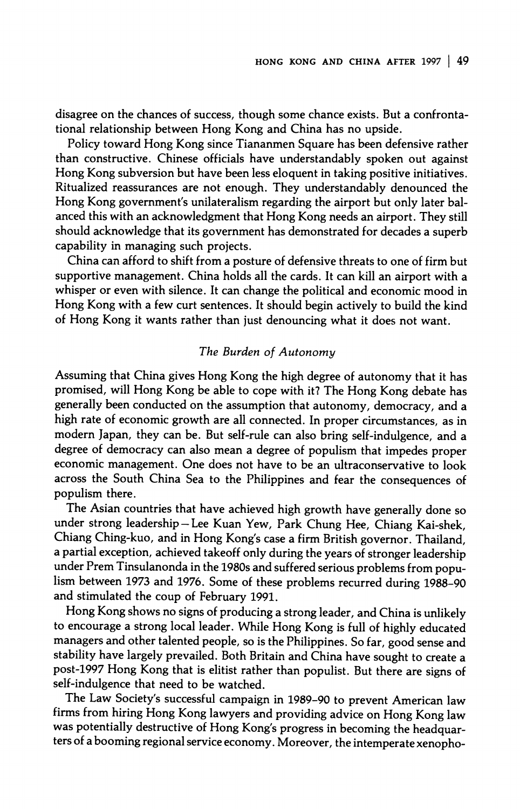**disagree on the chances of success, though some chance exists. But a confrontational relationship between Hong Kong and China has no upside.** 

**Policy toward Hong Kong since Tiananmen Square has been defensive rather than constructive. Chinese officials have understandably spoken out against Hong Kong subversion but have been less eloquent in taking positive initiatives. Ritualized reassurances are not enough. They understandably denounced the Hong Kong government's unilateralism regarding the airport but only later balanced this with an acknowledgment that Hong Kong needs an airport. They still should acknowledge that its government has demonstrated for decades a superb capability in managing such projects.** 

**China can afford to shift from a posture of defensive threats to one of firm but supportive management. China holds all the cards. It can kill an airport with a whisper or even with silence. It can change the political and economic mood in Hong Kong with a few curt sentences. It should begin actively to build the kind of Hong Kong it wants rather than just denouncing what it does not want.** 

## **The Burden of Autonomy**

**Assuming that China gives Hong Kong the high degree of autonomy that it has promised, will Hong Kong be able to cope with it? The Hong Kong debate has generally been conducted on the assumption that autonomy, democracy, and a high rate of economic growth are all connected. In proper circumstances, as in modern Japan, they can be. But self-rule can also bring self-indulgence, and a degree of democracy can also mean a degree of populism that impedes proper economic management. One does not have to be an ultraconservative to look across the South China Sea to the Philippines and fear the consequences of populism there.** 

**The Asian countries that have achieved high growth have generally done so under strong leadership-Lee Kuan Yew, Park Chung Hee, Chiang Kai-shek, Chiang Ching-kuo, and in Hong Kong's case a firm British governor. Thailand, a partial exception, achieved takeoff only during the years of stronger leadership under Prem Tinsulanonda in the 1980s and suffered serious problems from populism between 1973 and 1976. Some of these problems recurred during 1988-90 and stimulated the coup of February 1991.** 

**Hong Kong shows no signs of producing a strong leader, and China is unlikely to encourage a strong local leader. While Hong Kong is full of highly educated managers and other talented people, so is the Philippines. So far, good sense and stability have largely prevailed. Both Britain and China have sought to create a post-1997 Hong Kong that is elitist rather than populist. But there are signs of self-indulgence that need to be watched.** 

**The Law Society's successful campaign in 1989-90 to prevent American law firms from hiring Hong Kong lawyers and providing advice on Hong Kong law was potentially destructive of Hong Kong's progress in becoming the headquarters of a booming regional service economy. Moreover, the intemperate xenopho-**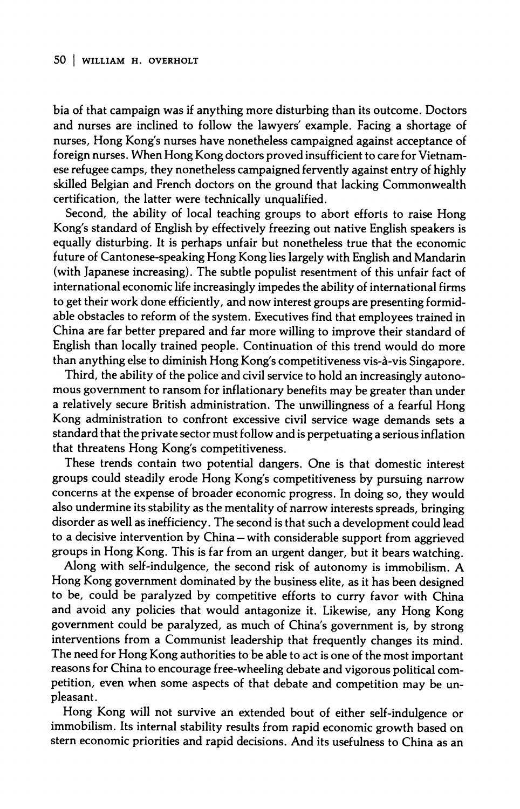**bia of that campaign was if anything more disturbing than its outcome. Doctors and nurses are inclined to follow the lawyers' example. Facing a shortage of nurses, Hong Kong's nurses have nonetheless campaigned against acceptance of foreign nurses. When Hong Kong doctors proved insufficient to care for Vietnamese refugee camps, they nonetheless campaigned fervently against entry of highly skilled Belgian and French doctors on the ground that lacking Commonwealth certification, the latter were technically unqualified.** 

**Second, the ability of local teaching groups to abort efforts to raise Hong Kong's standard of English by effectively freezing out native English speakers is equally disturbing. It is perhaps unfair but nonetheless true that the economic future of Cantonese-speaking Hong Kong lies largely with English and Mandarin (with Japanese increasing). The subtle populist resentment of this unfair fact of international economic life increasingly impedes the ability of international firms to get their work done efficiently, and now interest groups are presenting formidable obstacles to reform of the system. Executives find that employees trained in China are far better prepared and far more willing to improve their standard of English than locally trained people. Continuation of this trend would do more than anything else to diminish Hong Kong's competitiveness vis-a-vis Singapore.** 

**Third, the ability of the police and civil service to hold an increasingly autonomous government to ransom for inflationary benefits may be greater than under a relatively secure British administration. The unwillingness of a fearful Hong Kong administration to confront excessive civil service wage demands sets a standard that the private sector must follow and is perpetuating a serious inflation that threatens Hong Kong's competitiveness.** 

**These trends contain two potential dangers. One is that domestic interest groups could steadily erode Hong Kong's competitiveness by pursuing narrow concerns at the expense of broader economic progress. In doing so, they would also undermine its stability as the mentality of narrow interests spreads, bringing disorder as well as inefficiency. The second is that such a development could lead**  to a decisive intervention by China - with considerable support from aggrieved **groups in Hong Kong. This is far from an urgent danger, but it bears watching.** 

**Along with self-indulgence, the second risk of autonomy is immobilism. A Hong Kong government dominated by the business elite, as it has been designed to be, could be paralyzed by competitive efforts to curry favor with China and avoid any policies that would antagonize it. Likewise, any Hong Kong government could be paralyzed, as much of China's government is, by strong interventions from a Communist leadership that frequently changes its mind. The need for Hong Kong authorities to be able to act is one of the most important reasons for China to encourage free-wheeling debate and vigorous political competition, even when some aspects of that debate and competition may be unpleasant.** 

**Hong Kong will not survive an extended bout of either self-indulgence or immobilism. Its internal stability results from rapid economic growth based on stern economic priorities and rapid decisions. And its usefulness to China as an**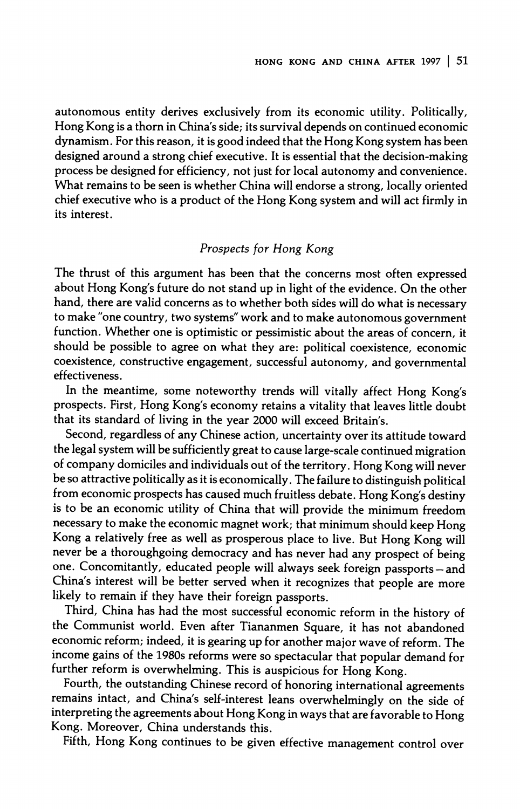**autonomous entity derives exclusively from its economic utility. Politically, Hong Kong is a thorn in China's side; its survival depends on continued economic dynamism. For this reason, it is good indeed that the Hong Kong system has been designed around a strong chief executive. It is essential that the decision-making process be designed for efficiency, not just for local autonomy and convenience. What remains to be seen is whether China will endorse a strong, locally oriented chief executive who is a product of the Hong Kong system and will act firmly in its interest.** 

## **Prospects for Hong Kong**

**The thrust of this argument has been that the concerns most often expressed about Hong Kong's future do not stand up in light of the evidence. On the other hand, there are valid concerns as to whether both sides will do what is necessary to make "one country, two systems" work and to make autonomous government function. Whether one is optimistic or pessimistic about the areas of concern, it should be possible to agree on what they are: political coexistence, economic coexistence, constructive engagement, successful autonomy, and governmental effectiveness.** 

**In the meantime, some noteworthy trends will vitally affect Hong Kong's prospects. First, Hong Kong's economy retains a vitality that leaves little doubt that its standard of living in the year 2000 will exceed Britain's.** 

**Second, regardless of any Chinese action, uncertainty over its attitude toward the legal system will be sufficiently great to cause large-scale continued migration of company domiciles and individuals out of the territory. Hong Kong will never be so attractive politically as it is economically. The failure to distinguish political from economic prospects has caused much fruitless debate. Hong Kong's destiny is to be an economic utility of China that will provide the minimum freedom necessary to make the economic magnet work; that minimum should keep Hong Kong a relatively free as well as prosperous place to live. But Hong Kong will never be a thoroughgoing democracy and has never had any prospect of being one. Concomitantly, educated people will always seek foreign passports-and China's interest will be better served when it recognizes that people are more likely to remain if they have their foreign passports.** 

**Third, China has had the most successful economic reform in the history of the Communist world. Even after Tiananmen Square, it has not abandoned economic reform; indeed, it is gearing up for another major wave of reform. The income gains of the 1980s reforms were so spectacular that popular demand for further reform is overwhelming. This is auspicious for Hong Kong.** 

**Fourth, the outstanding Chinese record of honoring international agreements remains intact, and China's self-interest leans overwhelmingly on the side of interpreting the agreements about Hong Kong in ways that are favorable to Hong Kong. Moreover, China understands this.** 

**Fifth, Hong Kong continues to be given effective management control over**